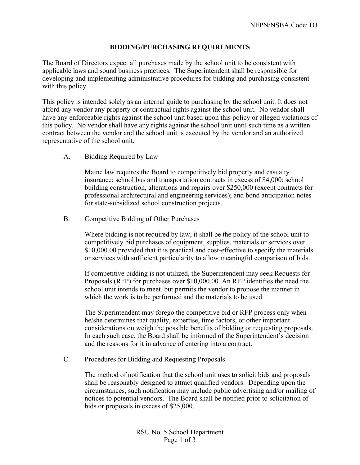## **BIDDING/PURCHASING REQUIREMENTS**

The Board of Directors expect all purchases made by the school unit to be consistent with applicable laws and sound business practices. The Superintendent shall be responsible for developing and implementing administrative procedures for bidding and purchasing consistent with this policy.

This policy is intended solely as an internal guide to purchasing by the school unit. It does not afford any vendor any property or contractual rights against the school unit. No vendor shall have any enforceable rights against the school unit based upon this policy or alleged violations of this policy. No vendor shall have any rights against the school unit until such time as a written contract between the vendor and the school unit is executed by the vendor and an authorized representative of the school unit.

A. Bidding Required by Law

Maine law requires the Board to competitively bid property and casualty insurance; school bus and transportation contracts in excess of \$4,000; school building construction, alterations and repairs over \$250,000 (except contracts for professional architectural and engineering services); and bond anticipation notes for state-subsidized school construction projects.

B. Competitive Bidding of Other Purchases

Where bidding is not required by law, it shall be the policy of the school unit to competitively bid purchases of equipment, supplies, materials or services over \$10,000.00 provided that it is practical and cost-effective to specify the materials or services with sufficient particularity to allow meaningful comparison of bids.

If competitive bidding is not utilized, the Superintendent may seek Requests for Proposals (RFP) for purchases over \$10,000.00. An RFP identifies the need the school unit intends to meet, but permits the vendor to propose the manner in which the work is to be performed and the materials to be used.

The Superintendent may forego the competitive bid or RFP process only when he/she determines that quality, expertise, time factors, or other important considerations outweigh the possible benefits of bidding or requesting proposals. In each such case, the Board shall be informed of the Superintendent's decision and the reasons for it in advance of entering into a contract.

C. Procedures for Bidding and Requesting Proposals

The method of notification that the school unit uses to solicit bids and proposals shall be reasonably designed to attract qualified vendors. Depending upon the circumstances, such notification may include public advertising and/or mailing of notices to potential vendors. The Board shall be notified prior to solicitation of bids or proposals in excess of \$25,000.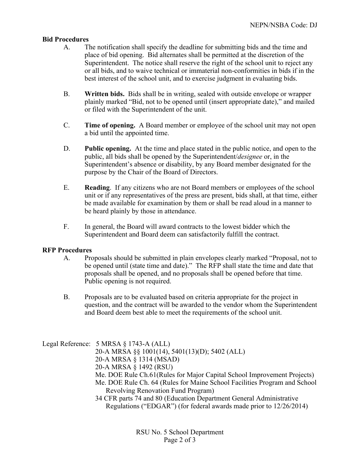## **Bid Procedures**

- A. The notification shall specify the deadline for submitting bids and the time and place of bid opening. Bid alternates shall be permitted at the discretion of the Superintendent. The notice shall reserve the right of the school unit to reject any or all bids, and to waive technical or immaterial non-conformities in bids if in the best interest of the school unit, and to exercise judgment in evaluating bids.
- B. **Written bids.** Bids shall be in writing, sealed with outside envelope or wrapper plainly marked "Bid, not to be opened until (insert appropriate date)," and mailed or filed with the Superintendent of the unit.
- C. **Time of opening.** A Board member or employee of the school unit may not open a bid until the appointed time.
- D. **Public opening.** At the time and place stated in the public notice, and open to the public, all bids shall be opened by the Superintendent/*designee* or, in the Superintendent's absence or disability, by any Board member designated for the purpose by the Chair of the Board of Directors.
- E. **Reading**. If any citizens who are not Board members or employees of the school unit or if any representatives of the press are present, bids shall, at that time, either be made available for examination by them or shall be read aloud in a manner to be heard plainly by those in attendance.
- F. In general, the Board will award contracts to the lowest bidder which the Superintendent and Board deem can satisfactorily fulfill the contract.

## **RFP Procedures**

- A. Proposals should be submitted in plain envelopes clearly marked "Proposal, not to be opened until (state time and date)." The RFP shall state the time and date that proposals shall be opened, and no proposals shall be opened before that time. Public opening is not required.
- B. Proposals are to be evaluated based on criteria appropriate for the project in question, and the contract will be awarded to the vendor whom the Superintendent and Board deem best able to meet the requirements of the school unit.

Legal Reference: 5 MRSA § 1743-A (ALL) 20-A MRSA §§ 1001(14), 5401(13)(D); 5402 (ALL) 20-A MRSA § 1314 (MSAD) 20-A MRSA § 1492 (RSU) Me. DOE Rule Ch.61(Rules for Major Capital School Improvement Projects) Me. DOE Rule Ch. 64 (Rules for Maine School Facilities Program and School Revolving Renovation Fund Program) 34 CFR parts 74 and 80 (Education Department General Administrative Regulations ("EDGAR") (for federal awards made prior to 12/26/2014)